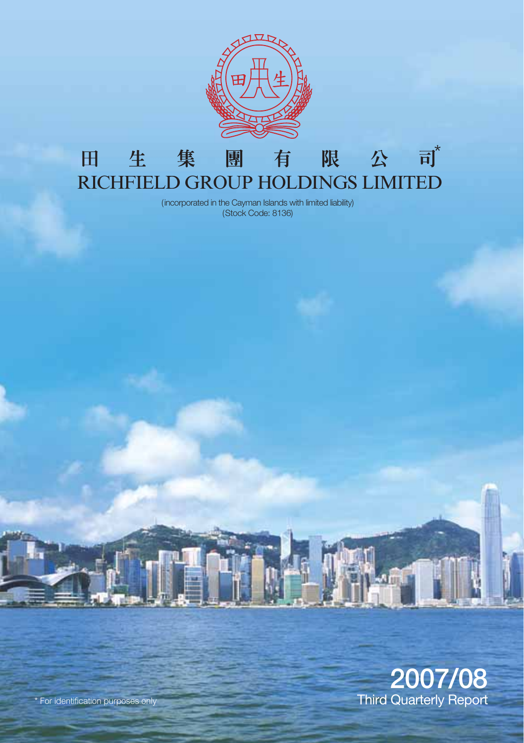

#### $\overrightarrow{H}^*$ 限公 田 生 集 團 有 RICHFIELD GROUP HOLDINGS LIMITED

(incorporated in the Cayman Islands with limited liability) (Stock Code: 8136)



\* For identification purposes only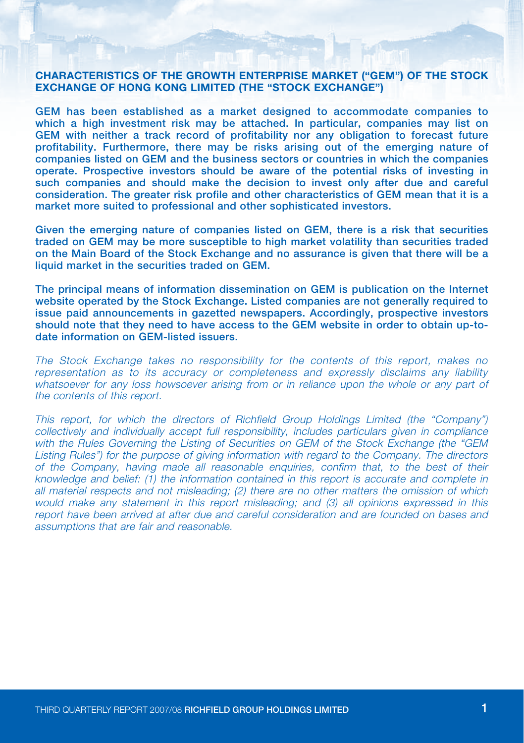#### CHARACTERISTICS OF THE GROWTH ENTERPRISE MARKET ("GEM") OF THE STOCK EXCHANGE OF HONG KONG LIMITED (THE "STOCK EXCHANGE")

GEM has been established as a market designed to accommodate companies to which a high investment risk may be attached. In particular, companies may list on GEM with neither a track record of profitability nor any obligation to forecast future profitability. Furthermore, there may be risks arising out of the emerging nature of companies listed on GEM and the business sectors or countries in which the companies operate. Prospective investors should be aware of the potential risks of investing in such companies and should make the decision to invest only after due and careful consideration. The greater risk profile and other characteristics of GEM mean that it is a market more suited to professional and other sophisticated investors.

Given the emerging nature of companies listed on GEM, there is a risk that securities traded on GEM may be more susceptible to high market volatility than securities traded on the Main Board of the Stock Exchange and no assurance is given that there will be a liquid market in the securities traded on GEM.

The principal means of information dissemination on GEM is publication on the Internet website operated by the Stock Exchange. Listed companies are not generally required to issue paid announcements in gazetted newspapers. Accordingly, prospective investors should note that they need to have access to the GEM website in order to obtain up-todate information on GEM-listed issuers.

The Stock Exchange takes no responsibility for the contents of this report, makes no representation as to its accuracy or completeness and expressly disclaims any liability whatsoever for any loss howsoever arising from or in reliance upon the whole or any part of the contents of this report.

This report, for which the directors of Richfield Group Holdings Limited (the "Company") collectively and individually accept full responsibility, includes particulars given in compliance with the Rules Governing the Listing of Securities on GEM of the Stock Exchange (the "GEM Listing Rules") for the purpose of giving information with regard to the Company. The directors of the Company, having made all reasonable enquiries, confirm that, to the best of their knowledge and belief: (1) the information contained in this report is accurate and complete in all material respects and not misleading; (2) there are no other matters the omission of which would make any statement in this report misleading; and (3) all opinions expressed in this report have been arrived at after due and careful consideration and are founded on bases and assumptions that are fair and reasonable.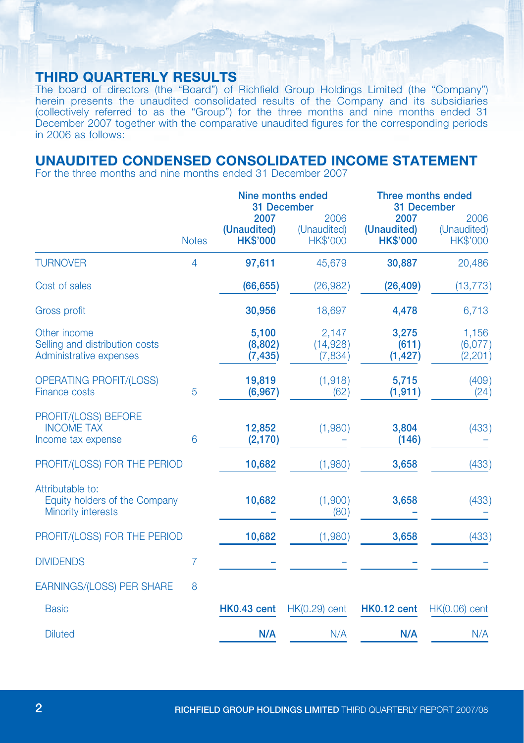### Third Quarterly RESULTS

The board of directors (the "Board") of Richfield Group Holdings Limited (the "Company") herein presents the unaudited consolidated results of the Company and its subsidiaries (collectively referred to as the "Group") for the three months and nine months ended 31 December 2007 together with the comparative unaudited figures for the corresponding periods in 2006 as follows:

# UNAUDITED CONDENSED CONSOLIDATED INCOME STATEMENT

For the three months and nine months ended 31 December 2007

|                                                                           |                | Nine months ended<br>31 December       |                                        | Three months ended<br>31 December      |                                        |
|---------------------------------------------------------------------------|----------------|----------------------------------------|----------------------------------------|----------------------------------------|----------------------------------------|
|                                                                           | <b>Notes</b>   | 2007<br>(Unaudited)<br><b>HK\$'000</b> | 2006<br>(Unaudited)<br><b>HK\$'000</b> | 2007<br>(Unaudited)<br><b>HK\$'000</b> | 2006<br>(Unaudited)<br><b>HK\$'000</b> |
| <b>TURNOVER</b>                                                           | $\overline{4}$ | 97,611                                 | 45,679                                 | 30,887                                 | 20,486                                 |
| Cost of sales                                                             |                | (66, 655)                              | (26, 982)                              | (26, 409)                              | (13, 773)                              |
| <b>Gross profit</b>                                                       |                | 30,956                                 | 18,697                                 | 4,478                                  | 6,713                                  |
| Other income<br>Selling and distribution costs<br>Administrative expenses |                | 5,100<br>(8,802)<br>(7, 435)           | 2,147<br>(14,928)<br>(7,834)           | 3,275<br>(611)<br>(1, 427)             | 1,156<br>(6,077)<br>(2, 201)           |
| <b>OPERATING PROFIT/(LOSS)</b><br><b>Finance costs</b>                    | 5              | 19,819<br>(6, 967)                     | (1,918)<br>(62)                        | 5,715<br>(1, 911)                      | (409)<br>(24)                          |
| PROFIT/(LOSS) BEFORE<br><b>INCOME TAX</b><br>Income tax expense           | 6              | 12,852<br>(2, 170)                     | (1,980)                                | 3,804<br>(146)                         | (433)                                  |
| PROFIT/(LOSS) FOR THE PERIOD                                              |                | 10,682                                 | (1,980)                                | 3,658                                  | (433)                                  |
| Attributable to:<br>Equity holders of the Company<br>Minority interests   |                | 10,682                                 | (1,900)<br>(80)                        | 3,658                                  | (433)                                  |
| PROFIT/(LOSS) FOR THE PERIOD                                              |                | 10,682                                 | (1,980)                                | 3,658                                  | (433)                                  |
| <b>DIVIDENDS</b>                                                          | 7              |                                        |                                        |                                        |                                        |
| <b>EARNINGS/(LOSS) PER SHARE</b>                                          | 8              |                                        |                                        |                                        |                                        |
| <b>Basic</b>                                                              |                | <b>HK0.43 cent</b>                     | $HK(0.29)$ cent                        | HK0.12 cent                            | $HK(0.06)$ cent                        |
| <b>Diluted</b>                                                            |                | N/A                                    | N/A                                    | N/A                                    | N/A                                    |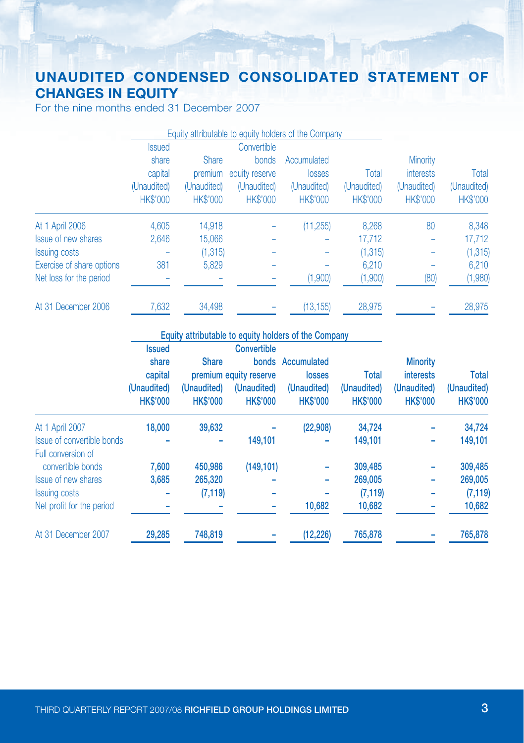# UNAUDITED CONDENSED CONSOLIDATED STATEMENT OF CHANGES IN EQUITY

For the nine months ended 31 December 2007

|                           |                 |                 |                 | Equity attributable to equity holders of the Company |                 |                 |                 |
|---------------------------|-----------------|-----------------|-----------------|------------------------------------------------------|-----------------|-----------------|-----------------|
|                           | <b>Issued</b>   |                 | Convertible     |                                                      |                 |                 |                 |
|                           | share           | <b>Share</b>    | bonds           | Accumulated                                          |                 | <b>Minority</b> |                 |
|                           | capital         | premium         | equity reserve  | losses                                               | Total           | interests       | Total           |
|                           | (Unaudited)     | (Unaudited)     | (Unaudited)     | (Unaudited)                                          | (Unaudited)     | (Unaudited)     | (Unaudited)     |
|                           | <b>HK\$'000</b> | <b>HK\$'000</b> | <b>HK\$'000</b> | <b>HK\$'000</b>                                      | <b>HK\$'000</b> | <b>HK\$'000</b> | <b>HK\$'000</b> |
| At 1 April 2006           | 4.605           | 14.918          |                 | (11, 255)                                            | 8.268           | 80              | 8,348           |
| Issue of new shares       | 2.646           | 15,066          |                 |                                                      | 17,712          |                 | 17,712          |
| <b>Issuing costs</b>      |                 | (1, 315)        |                 |                                                      | (1, 315)        |                 | (1, 315)        |
| Exercise of share options | 381             | 5,829           |                 |                                                      | 6.210           |                 | 6.210           |
| Net loss for the period   |                 |                 |                 | (1,900)                                              | (1,900)         | (80)            | (1,980)         |
| At 31 December 2006       | 7,632           | 34,498          |                 | (13, 155)                                            | 28,975          |                 | 28,975          |

#### Equity attributable to equity holders of the Company

|                            | <b>Issued</b> |                                                   | <b>Convertible</b>                                       |                                          |                                         |                                                    |                                                |
|----------------------------|---------------|---------------------------------------------------|----------------------------------------------------------|------------------------------------------|-----------------------------------------|----------------------------------------------------|------------------------------------------------|
|                            | share         | <b>Share</b>                                      |                                                          | bonds Accumulated                        |                                         | <b>Minority</b>                                    |                                                |
|                            | capital       | (Unaudited)<br><b>HK\$'000</b><br><b>HK\$'000</b> | premium equity reserve<br>(Unaudited)<br><b>HK\$'000</b> | losses<br>(Unaudited)<br><b>HK\$'000</b> | Total<br>(Unaudited)<br><b>HK\$'000</b> | <i>interests</i><br>(Unaudited)<br><b>HK\$'000</b> | <b>Total</b><br>(Unaudited)<br><b>HK\$'000</b> |
|                            | (Unaudited)   |                                                   |                                                          |                                          |                                         |                                                    |                                                |
|                            |               |                                                   |                                                          |                                          |                                         |                                                    |                                                |
| At 1 April 2007            | 18,000        | 39.632                                            |                                                          | (22,908)                                 | 34.724                                  |                                                    | 34,724                                         |
| Issue of convertible bonds |               |                                                   | 149.101                                                  |                                          | 149.101                                 | ۰                                                  | 149,101                                        |
| Full conversion of         |               |                                                   |                                                          |                                          |                                         |                                                    |                                                |
| convertible bonds          | 7.600         | 450,986                                           | (149, 101)                                               |                                          | 309,485                                 |                                                    | 309,485                                        |
| Issue of new shares        | 3,685         | 265,320                                           |                                                          | -                                        | 269,005                                 | ۰                                                  | 269,005                                        |
| <b>Issuing costs</b>       |               | (7, 119)                                          |                                                          |                                          | (7, 119)                                |                                                    | (7, 119)                                       |
| Net profit for the period  |               |                                                   |                                                          | 10,682                                   | 10,682                                  |                                                    | 10,682                                         |
| At 31 December 2007        | 29,285        | 748,819                                           |                                                          | (12, 226)                                | 765,878                                 |                                                    | 765,878                                        |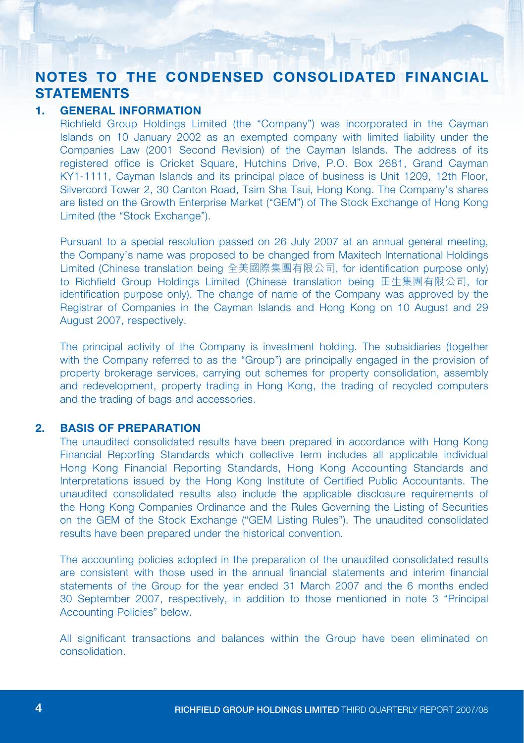# NOTES TO THE CONDENSED CONSOLIDATED FINANCIAL **STATEMENTS**

#### 1. GENERAL INFORMATION

Richfield Group Holdings Limited (the "Company") was incorporated in the Cayman Islands on 10 January 2002 as an exempted company with limited liability under the Companies Law (2001 Second Revision) of the Cayman Islands. The address of its registered office is Cricket Square, Hutchins Drive, P.O. Box 2681, Grand Cayman KY1-1111, Cayman Islands and its principal place of business is Unit 1209, 12th Floor, Silvercord Tower 2, 30 Canton Road, Tsim Sha Tsui, Hong Kong. The Company's shares are listed on the Growth Enterprise Market ("GEM") of The Stock Exchange of Hong Kong Limited (the "Stock Exchange").

Pursuant to a special resolution passed on 26 July 2007 at an annual general meeting, the Company's name was proposed to be changed from Maxitech International Holdings Limited (Chinese translation being 全美國際集團有限公司, for identification purpose only) to Richfield Group Holdings Limited (Chinese translation being 田生集團有限公司, for identification purpose only). The change of name of the Company was approved by the Registrar of Companies in the Cayman Islands and Hong Kong on 10 August and 29 August 2007, respectively.

The principal activity of the Company is investment holding. The subsidiaries (together with the Company referred to as the "Group") are principally engaged in the provision of property brokerage services, carrying out schemes for property consolidation, assembly and redevelopment, property trading in Hong Kong, the trading of recycled computers and the trading of bags and accessories.

#### 2. BASIS OF PREPARATION

The unaudited consolidated results have been prepared in accordance with Hong Kong Financial Reporting Standards which collective term includes all applicable individual Hong Kong Financial Reporting Standards, Hong Kong Accounting Standards and Interpretations issued by the Hong Kong Institute of Certified Public Accountants. The unaudited consolidated results also include the applicable disclosure requirements of the Hong Kong Companies Ordinance and the Rules Governing the Listing of Securities on the GEM of the Stock Exchange ("GEM Listing Rules"). The unaudited consolidated results have been prepared under the historical convention.

The accounting policies adopted in the preparation of the unaudited consolidated results are consistent with those used in the annual financial statements and interim financial statements of the Group for the year ended 31 March 2007 and the 6 months ended 30 September 2007, respectively, in addition to those mentioned in note 3 "Principal Accounting Policies" below.

All significant transactions and balances within the Group have been eliminated on consolidation.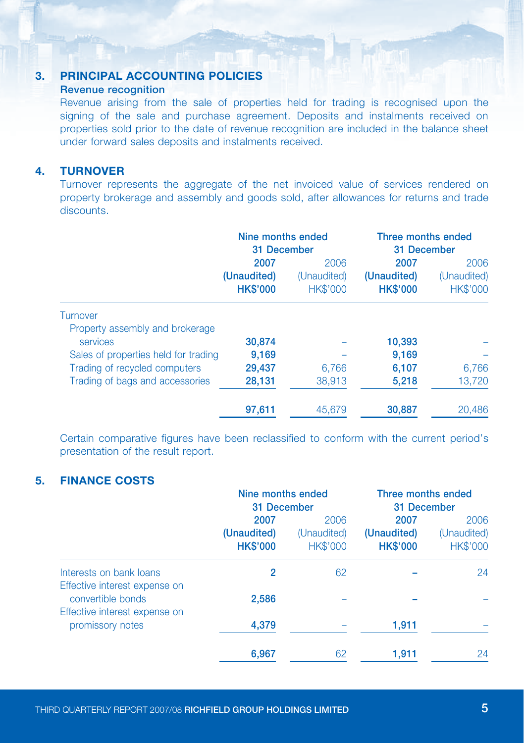#### 3. PRINCIPAL ACCOUNTING POLICIES

#### Revenue recognition

Revenue arising from the sale of properties held for trading is recognised upon the signing of the sale and purchase agreement. Deposits and instalments received on properties sold prior to the date of revenue recognition are included in the balance sheet under forward sales deposits and instalments received.

#### 4. TURNOVER

Turnover represents the aggregate of the net invoiced value of services rendered on property brokerage and assembly and goods sold, after allowances for returns and trade discounts.

| Nine months ended<br>31 December |                                      | Three months ended<br>31 December |                 |      |
|----------------------------------|--------------------------------------|-----------------------------------|-----------------|------|
|                                  |                                      |                                   |                 | 2007 |
| (Unaudited)                      | (Unaudited)                          | (Unaudited)                       | (Unaudited)     |      |
| <b>HK\$'000</b>                  | <b>HK\$'000</b>                      | <b>HK\$'000</b>                   | <b>HK\$'000</b> |      |
|                                  |                                      |                                   |                 |      |
|                                  |                                      |                                   |                 |      |
| 30,874                           |                                      | 10,393                            |                 |      |
| 9,169                            |                                      | 9,169                             |                 |      |
| 29,437                           | 6.766                                | 6,107                             | 6,766           |      |
| 28,131                           | 38,913                               | 5,218                             | 13.720          |      |
| 97,611                           | 45,679                               | 30,887                            | 20,486          |      |
|                                  | Sales of properties held for trading | 2006                              |                 |      |

Certain comparative figures have been reclassified to conform with the current period's presentation of the result report.

#### 5. Finance Costs

|                                                          | Nine months ended              |                                | Three months ended<br>31 December |                         |
|----------------------------------------------------------|--------------------------------|--------------------------------|-----------------------------------|-------------------------|
|                                                          | 31 December<br>2007<br>2006    |                                | 2007                              | 2006                    |
|                                                          | (Unaudited)<br><b>HK\$'000</b> | (Unaudited)<br><b>HK\$'000</b> | (Unaudited)<br><b>HK\$'000</b>    | (Unaudited)<br>HK\$'000 |
| Interests on bank loans<br>Effective interest expense on | 2                              | 62                             |                                   | 24                      |
| convertible bonds<br>Effective interest expense on       | 2,586                          |                                |                                   |                         |
| promissory notes                                         | 4,379                          |                                | 1,911                             |                         |
|                                                          | 6,967                          | 62                             | 1,911                             | 24                      |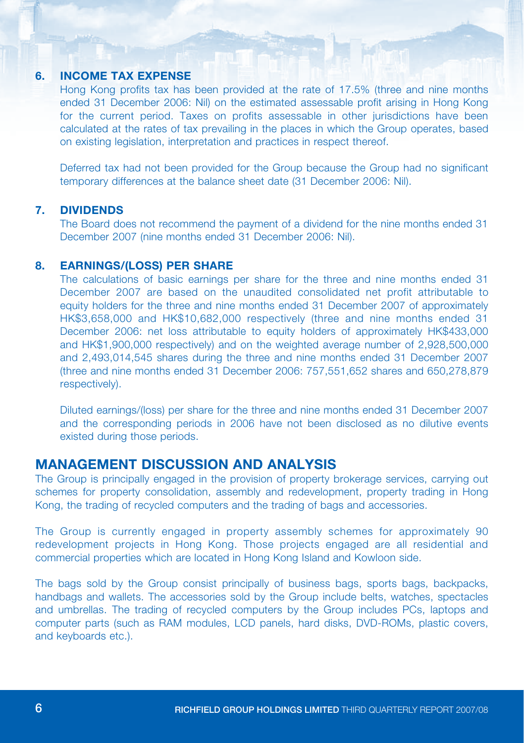#### 6. INCOME TAX EXPENSE

Hong Kong profits tax has been provided at the rate of 17.5% (three and nine months ended 31 December 2006: Nil) on the estimated assessable profit arising in Hong Kong for the current period. Taxes on profits assessable in other jurisdictions have been calculated at the rates of tax prevailing in the places in which the Group operates, based on existing legislation, interpretation and practices in respect thereof.

Deferred tax had not been provided for the Group because the Group had no significant temporary differences at the balance sheet date (31 December 2006: Nil).

### 7. DIVIDENDS

The Board does not recommend the payment of a dividend for the nine months ended 31 December 2007 (nine months ended 31 December 2006: Nil).

#### 8. EARNINGS/(LOSS) PER SHARE

The calculations of basic earnings per share for the three and nine months ended 31 December 2007 are based on the unaudited consolidated net profit attributable to equity holders for the three and nine months ended 31 December 2007 of approximately HK\$3,658,000 and HK\$10,682,000 respectively (three and nine months ended 31 December 2006: net loss attributable to equity holders of approximately HK\$433,000 and HK\$1,900,000 respectively) and on the weighted average number of 2,928,500,000 and 2,493,014,545 shares during the three and nine months ended 31 December 2007 (three and nine months ended 31 December 2006: 757,551,652 shares and 650,278,879 respectively).

Diluted earnings/(loss) per share for the three and nine months ended 31 December 2007 and the corresponding periods in 2006 have not been disclosed as no dilutive events existed during those periods.

### MANAGEMENT DISCUSSION AND ANALYSIS

The Group is principally engaged in the provision of property brokerage services, carrying out schemes for property consolidation, assembly and redevelopment, property trading in Hong Kong, the trading of recycled computers and the trading of bags and accessories.

The Group is currently engaged in property assembly schemes for approximately 90 redevelopment projects in Hong Kong. Those projects engaged are all residential and commercial properties which are located in Hong Kong Island and Kowloon side.

The bags sold by the Group consist principally of business bags, sports bags, backpacks, handbags and wallets. The accessories sold by the Group include belts, watches, spectacles and umbrellas. The trading of recycled computers by the Group includes PCs, laptops and computer parts (such as RAM modules, LCD panels, hard disks, DVD-ROMs, plastic covers, and keyboards etc.).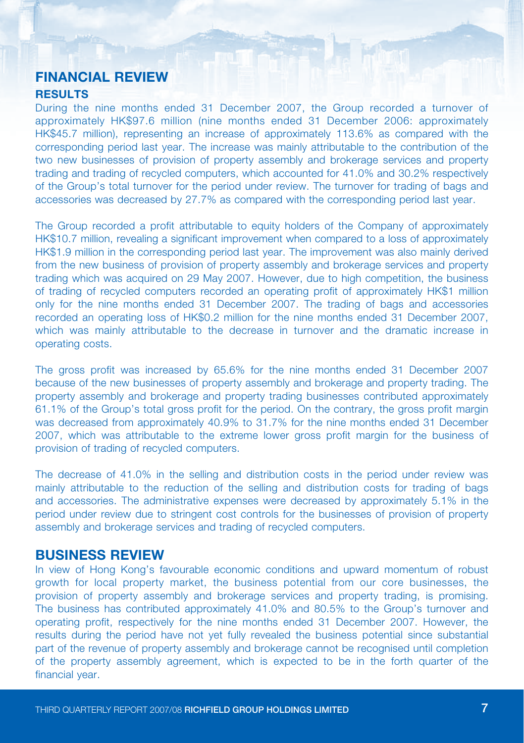### FINANCIAL REVIEW **RESULTS**

During the nine months ended 31 December 2007, the Group recorded a turnover of approximately HK\$97.6 million (nine months ended 31 December 2006: approximately HK\$45.7 million), representing an increase of approximately 113.6% as compared with the corresponding period last year. The increase was mainly attributable to the contribution of the two new businesses of provision of property assembly and brokerage services and property trading and trading of recycled computers, which accounted for 41.0% and 30.2% respectively of the Group's total turnover for the period under review. The turnover for trading of bags and accessories was decreased by 27.7% as compared with the corresponding period last year.

The Group recorded a profit attributable to equity holders of the Company of approximately HK\$10.7 million, revealing a significant improvement when compared to a loss of approximately HK\$1.9 million in the corresponding period last year. The improvement was also mainly derived from the new business of provision of property assembly and brokerage services and property trading which was acquired on 29 May 2007. However, due to high competition, the business of trading of recycled computers recorded an operating profit of approximately HK\$1 million only for the nine months ended 31 December 2007. The trading of bags and accessories recorded an operating loss of HK\$0.2 million for the nine months ended 31 December 2007, which was mainly attributable to the decrease in turnover and the dramatic increase in operating costs.

The gross profit was increased by 65.6% for the nine months ended 31 December 2007 because of the new businesses of property assembly and brokerage and property trading. The property assembly and brokerage and property trading businesses contributed approximately 61.1% of the Group's total gross profit for the period. On the contrary, the gross profit margin was decreased from approximately 40.9% to 31.7% for the nine months ended 31 December 2007, which was attributable to the extreme lower gross profit margin for the business of provision of trading of recycled computers.

The decrease of 41.0% in the selling and distribution costs in the period under review was mainly attributable to the reduction of the selling and distribution costs for trading of bags and accessories. The administrative expenses were decreased by approximately 5.1% in the period under review due to stringent cost controls for the businesses of provision of property assembly and brokerage services and trading of recycled computers.

### BUSINESS REVIEW

In view of Hong Kong's favourable economic conditions and upward momentum of robust growth for local property market, the business potential from our core businesses, the provision of property assembly and brokerage services and property trading, is promising. The business has contributed approximately 41.0% and 80.5% to the Group's turnover and operating profit, respectively for the nine months ended 31 December 2007. However, the results during the period have not yet fully revealed the business potential since substantial part of the revenue of property assembly and brokerage cannot be recognised until completion of the property assembly agreement, which is expected to be in the forth quarter of the financial year.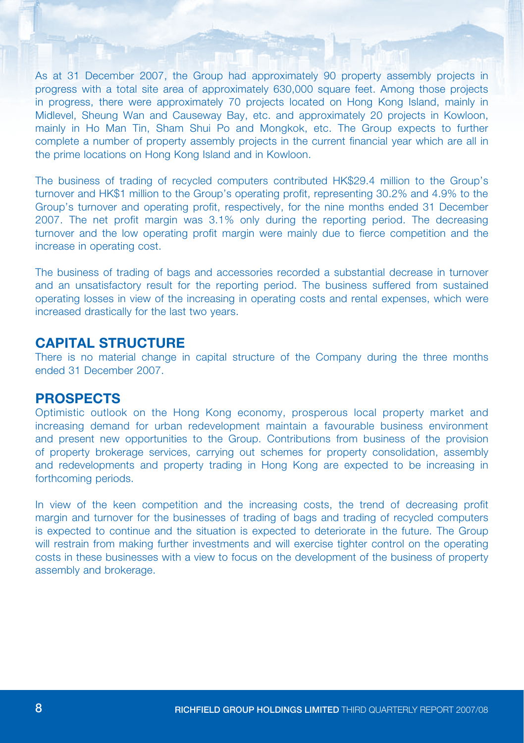As at 31 December 2007, the Group had approximately 90 property assembly projects in progress with a total site area of approximately 630,000 square feet. Among those projects in progress, there were approximately 70 projects located on Hong Kong Island, mainly in Midlevel, Sheung Wan and Causeway Bay, etc. and approximately 20 projects in Kowloon, mainly in Ho Man Tin, Sham Shui Po and Mongkok, etc. The Group expects to further complete a number of property assembly projects in the current financial year which are all in the prime locations on Hong Kong Island and in Kowloon.

The business of trading of recycled computers contributed HK\$29.4 million to the Group's turnover and HK\$1 million to the Group's operating profit, representing 30.2% and 4.9% to the Group's turnover and operating profit, respectively, for the nine months ended 31 December 2007. The net profit margin was 3.1% only during the reporting period. The decreasing turnover and the low operating profit margin were mainly due to fierce competition and the increase in operating cost.

The business of trading of bags and accessories recorded a substantial decrease in turnover and an unsatisfactory result for the reporting period. The business suffered from sustained operating losses in view of the increasing in operating costs and rental expenses, which were increased drastically for the last two years.

### capital structure

There is no material change in capital structure of the Company during the three months ended 31 December 2007.

### PROSPECTS

Optimistic outlook on the Hong Kong economy, prosperous local property market and increasing demand for urban redevelopment maintain a favourable business environment and present new opportunities to the Group. Contributions from business of the provision of property brokerage services, carrying out schemes for property consolidation, assembly and redevelopments and property trading in Hong Kong are expected to be increasing in forthcoming periods.

In view of the keen competition and the increasing costs, the trend of decreasing profit margin and turnover for the businesses of trading of bags and trading of recycled computers is expected to continue and the situation is expected to deteriorate in the future. The Group will restrain from making further investments and will exercise tighter control on the operating costs in these businesses with a view to focus on the development of the business of property assembly and brokerage.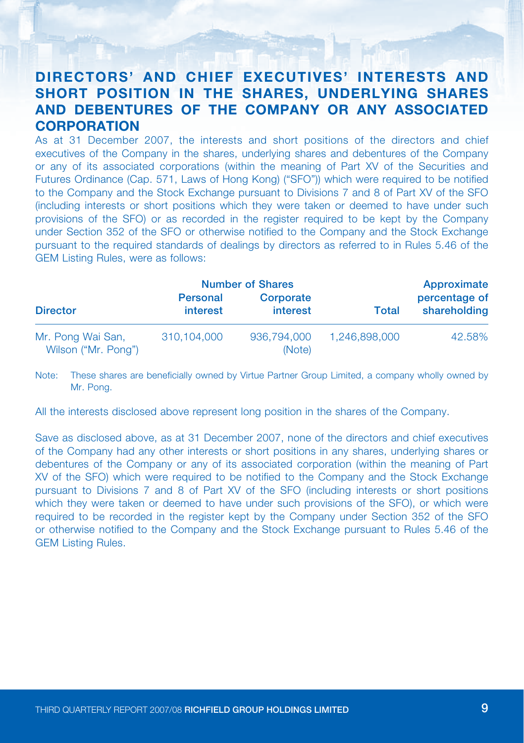# DIRECTORS' AND CHIEF EXECUTIVES' INTERESTS AND SHORT POSITION IN THE SHARES, UNDERLYING SHARES AND DEBENTURES OF THE COMPANY OR ANY ASSOCIATED **CORPORATION**

As at 31 December 2007, the interests and short positions of the directors and chief executives of the Company in the shares, underlying shares and debentures of the Company or any of its associated corporations (within the meaning of Part XV of the Securities and Futures Ordinance (Cap. 571, Laws of Hong Kong) ("SFO")) which were required to be notified to the Company and the Stock Exchange pursuant to Divisions 7 and 8 of Part XV of the SFO (including interests or short positions which they were taken or deemed to have under such provisions of the SFO) or as recorded in the register required to be kept by the Company under Section 352 of the SFO or otherwise notified to the Company and the Stock Exchange pursuant to the required standards of dealings by directors as referred to in Rules 5.46 of the GEM Listing Rules, were as follows:

|                                          |                             | <b>Number of Shares</b> |               | Approximate                   |  |
|------------------------------------------|-----------------------------|-------------------------|---------------|-------------------------------|--|
| <b>Director</b>                          | <b>Personal</b><br>interest | Corporate<br>interest   | Total         | percentage of<br>shareholding |  |
| Mr. Pong Wai San,<br>Wilson ("Mr. Pong") | 310.104.000                 | 936,794,000<br>(Note)   | 1.246.898.000 | 42.58%                        |  |

Note: These shares are beneficially owned by Virtue Partner Group Limited, a company wholly owned by Mr. Pong.

All the interests disclosed above represent long position in the shares of the Company.

Save as disclosed above, as at 31 December 2007, none of the directors and chief executives of the Company had any other interests or short positions in any shares, underlying shares or debentures of the Company or any of its associated corporation (within the meaning of Part XV of the SFO) which were required to be notified to the Company and the Stock Exchange pursuant to Divisions 7 and 8 of Part XV of the SFO (including interests or short positions which they were taken or deemed to have under such provisions of the SFO), or which were required to be recorded in the register kept by the Company under Section 352 of the SFO or otherwise notified to the Company and the Stock Exchange pursuant to Rules 5.46 of the GEM Listing Rules.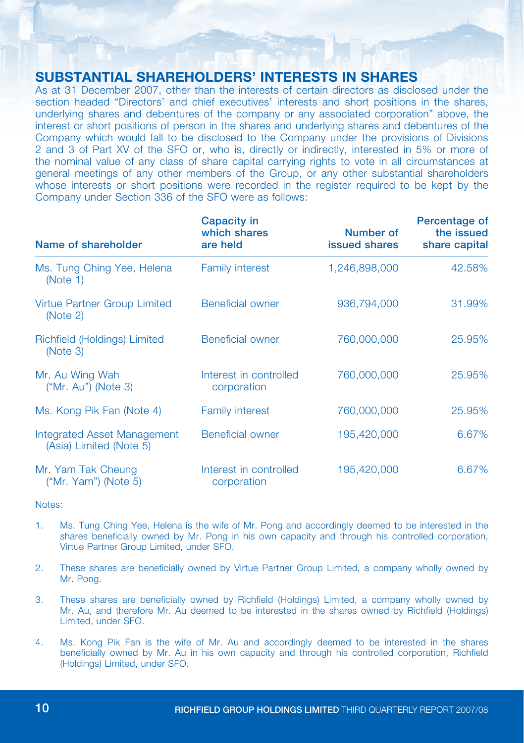### SUBSTANTIAL SHAREHOLDERS' INTERESTS IN SHARES

As at 31 December 2007, other than the interests of certain directors as disclosed under the section headed "Directors' and chief executives' interests and short positions in the shares, underlying shares and debentures of the company or any associated corporation" above, the interest or short positions of person in the shares and underlying shares and debentures of the Company which would fall to be disclosed to the Company under the provisions of Divisions 2 and 3 of Part XV of the SFO or, who is, directly or indirectly, interested in 5% or more of the nominal value of any class of share capital carrying rights to vote in all circumstances at general meetings of any other members of the Group, or any other substantial shareholders whose interests or short positions were recorded in the register required to be kept by the Company under Section 336 of the SFO were as follows:

| Name of shareholder                                    | <b>Capacity in</b><br>which shares<br>are held | Number of<br>issued shares | Percentage of<br>the issued<br>share capital |
|--------------------------------------------------------|------------------------------------------------|----------------------------|----------------------------------------------|
| Ms. Tung Ching Yee, Helena<br>(Note 1)                 | <b>Family interest</b>                         | 1,246,898,000              | 42.58%                                       |
| Virtue Partner Group Limited<br>(Note 2)               | Beneficial owner                               | 936,794,000                | 31.99%                                       |
| Richfield (Holdings) Limited<br>(Note 3)               | Beneficial owner                               | 760,000,000                | 25.95%                                       |
| Mr. Au Wing Wah<br>("Mr. Au") (Note 3)                 | Interest in controlled<br>corporation          | 760,000,000                | 25.95%                                       |
| Ms. Kong Pik Fan (Note 4)                              | <b>Family interest</b>                         | 760,000,000                | 25.95%                                       |
| Integrated Asset Management<br>(Asia) Limited (Note 5) | <b>Beneficial owner</b>                        | 195,420,000                | 6.67%                                        |
| Mr. Yam Tak Cheung<br>$("Mr. Yam")$ (Note 5)           | Interest in controlled<br>corporation          | 195,420,000                | 6.67%                                        |

Notes:

- 1. Ms. Tung Ching Yee, Helena is the wife of Mr. Pong and accordingly deemed to be interested in the shares beneficially owned by Mr. Pong in his own capacity and through his controlled corporation, Virtue Partner Group Limited, under SFO.
- 2. These shares are beneficially owned by Virtue Partner Group Limited, a company wholly owned by Mr. Pong.
- 3. These shares are beneficially owned by Richfield (Holdings) Limited, a company wholly owned by Mr. Au, and therefore Mr. Au deemed to be interested in the shares owned by Richfield (Holdings) Limited, under SFO.
- 4. Ms. Kong Pik Fan is the wife of Mr. Au and accordingly deemed to be interested in the shares beneficially owned by Mr. Au in his own capacity and through his controlled corporation, Richfield (Holdings) Limited, under SFO.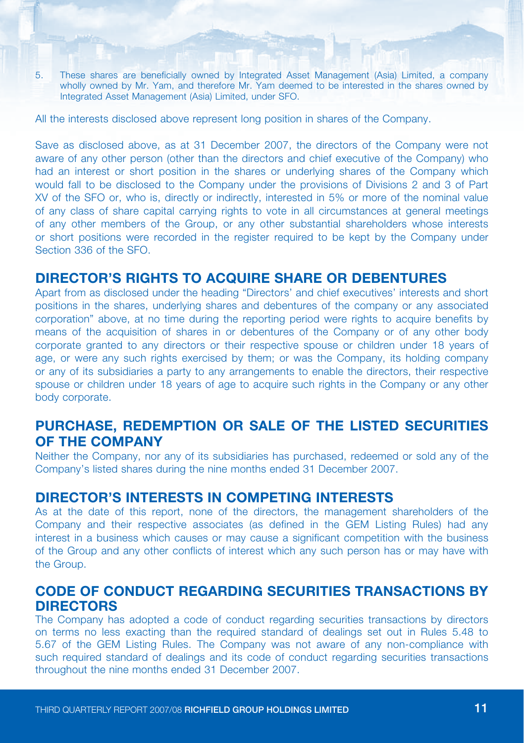5. These shares are beneficially owned by Integrated Asset Management (Asia) Limited, a company wholly owned by Mr. Yam, and therefore Mr. Yam deemed to be interested in the shares owned by Integrated Asset Management (Asia) Limited, under SFO.

All the interests disclosed above represent long position in shares of the Company.

Save as disclosed above, as at 31 December 2007, the directors of the Company were not aware of any other person (other than the directors and chief executive of the Company) who had an interest or short position in the shares or underlying shares of the Company which would fall to be disclosed to the Company under the provisions of Divisions 2 and 3 of Part XV of the SFO or, who is, directly or indirectly, interested in 5% or more of the nominal value of any class of share capital carrying rights to vote in all circumstances at general meetings of any other members of the Group, or any other substantial shareholders whose interests or short positions were recorded in the register required to be kept by the Company under Section 336 of the SFO.

#### DIRECTOR'S RIGHTS TO ACQUIRE SHARE OR DEBENTURES

Apart from as disclosed under the heading "Directors' and chief executives' interests and short positions in the shares, underlying shares and debentures of the company or any associated corporation" above, at no time during the reporting period were rights to acquire benefits by means of the acquisition of shares in or debentures of the Company or of any other body corporate granted to any directors or their respective spouse or children under 18 years of age, or were any such rights exercised by them; or was the Company, its holding company or any of its subsidiaries a party to any arrangements to enable the directors, their respective spouse or children under 18 years of age to acquire such rights in the Company or any other body corporate.

## PURCHASE, REDEMPTION OR SALE OF THE LISTED SECURITIES OF THE COMPANY

Neither the Company, nor any of its subsidiaries has purchased, redeemed or sold any of the Company's listed shares during the nine months ended 31 December 2007.

### DIRECTOR'S INTERESTS IN COMPETING INTERESTS

As at the date of this report, none of the directors, the management shareholders of the Company and their respective associates (as defined in the GEM Listing Rules) had any interest in a business which causes or may cause a significant competition with the business of the Group and any other conflicts of interest which any such person has or may have with the Group.

### CODE OF CONDUCT REGARDING SECURITIES TRANSACTIONS BY DIRECTORS

The Company has adopted a code of conduct regarding securities transactions by directors on terms no less exacting than the required standard of dealings set out in Rules 5.48 to 5.67 of the GEM Listing Rules. The Company was not aware of any non-compliance with such required standard of dealings and its code of conduct regarding securities transactions throughout the nine months ended 31 December 2007.